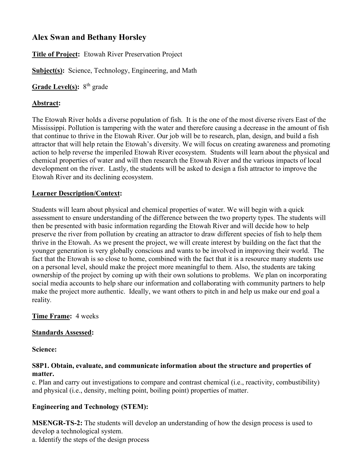# **Alex Swan and Bethany Horsley**

**Title of Project:** Etowah River Preservation Project

**Subject(s):** Science, Technology, Engineering, and Math

Grade Level(s): 8<sup>th</sup> grade

#### **Abstract:**

The Etowah River holds a diverse population of fish. It is the one of the most diverse rivers East of the Mississippi. Pollution is tampering with the water and therefore causing a decrease in the amount of fish that continue to thrive in the Etowah River. Our job will be to research, plan, design, and build a fish attractor that will help retain the Etowah's diversity. We will focus on creating awareness and promoting action to help reverse the imperiled Etowah River ecosystem. Students will learn about the physical and chemical properties of water and will then research the Etowah River and the various impacts of local development on the river. Lastly, the students will be asked to design a fish attractor to improve the Etowah River and its declining ecosystem.

#### **Learner Description/Context:**

Students will learn about physical and chemical properties of water. We will begin with a quick assessment to ensure understanding of the difference between the two property types. The students will then be presented with basic information regarding the Etowah River and will decide how to help preserve the river from pollution by creating an attractor to draw different species of fish to help them thrive in the Etowah. As we present the project, we will create interest by building on the fact that the younger generation is very globally conscious and wants to be involved in improving their world. The fact that the Etowah is so close to home, combined with the fact that it is a resource many students use on a personal level, should make the project more meaningful to them. Also, the students are taking ownership of the project by coming up with their own solutions to problems. We plan on incorporating social media accounts to help share our information and collaborating with community partners to help make the project more authentic. Ideally, we want others to pitch in and help us make our end goal a reality*.*

#### **Time Frame:** 4 weeks

#### **Standards Assessed:**

**Science:**

#### **S8P1. Obtain, evaluate, and communicate information about the structure and properties of matter.**

c. Plan and carry out investigations to compare and contrast chemical (i.e., reactivity, combustibility) and physical (i.e., density, melting point, boiling point) properties of matter.

## **Engineering and Technology (STEM):**

**MSENGR-TS-2:** The students will develop an understanding of how the design process is used to develop a technological system.

a. Identify the steps of the design process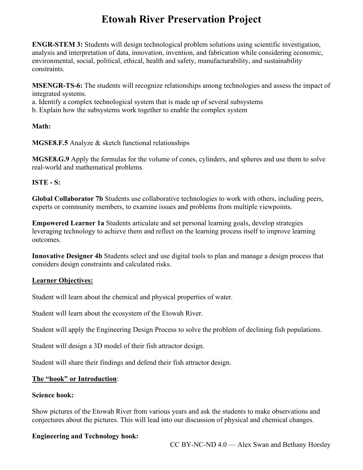**ENGR-STEM 3:** Students will design technological problem solutions using scientific investigation, analysis and interpretation of data, innovation, invention, and fabrication while considering economic, environmental, social, political, ethical, health and safety, manufacturability, and sustainability constraints.

**MSENGR-TS-6:** The students will recognize relationships among technologies and assess the impact of integrated systems.

a. Identify a complex technological system that is made up of several subsystems

b. Explain how the subsystems work together to enable the complex system

#### **Math:**

**MGSE8.F.5** Analyze & sketch functional relationships

**MGSE8.G.9** Apply the formulas for the volume of cones, cylinders, and spheres and use them to solve real-world and mathematical problems.

#### **ISTE - S:**

**Global Collaborator 7b** Students use collaborative technologies to work with others, including peers, experts or community members, to examine issues and problems from multiple viewpoints.

**Empowered Learner 1a** Students articulate and set personal learning goals, develop strategies leveraging technology to achieve them and reflect on the learning process itself to improve learning outcomes.

**Innovative Designer 4b** Students select and use digital tools to plan and manage a design process that considers design constraints and calculated risks.

## **Learner Objectives:**

Student will learn about the chemical and physical properties of water.

Student will learn about the ecosystem of the Etowah River.

Student will apply the Engineering Design Process to solve the problem of declining fish populations.

Student will design a 3D model of their fish attractor design.

Student will share their findings and defend their fish attractor design.

#### **The "hook" or Introduction**:

#### **Science hook:**

Show pictures of the Etowah River from various years and ask the students to make observations and conjectures about the pictures. This will lead into our discussion of physical and chemical changes.

#### **Engineering and Technology hook:**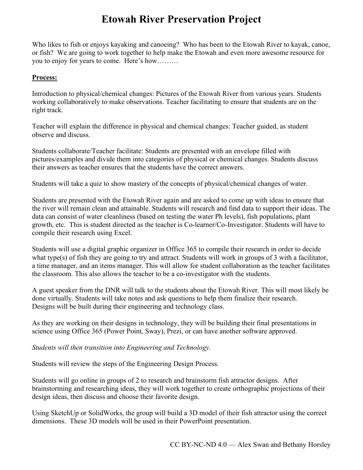Who likes to fish or enjoys kayaking and canoeing? Who has been to the Etowah River to kayak, canoe, or fish? We are going to work together to help make the Etowah and even more awesome resource for you to enjoy for years to come. Here's how………

#### **Process:**

Introduction to physical/chemical changes: Pictures of the Etowah River from various years. Students working collaboratively to make observations. Teacher facilitating to ensure that students are on the right track.

Teacher will explain the difference in physical and chemical changes: Teacher guided, as student observe and discuss.

Students collaborate/Teacher facilitate: Students are presented with an envelope filled with pictures/examples and divide them into categories of physical or chemical changes. Students discuss their answers as teacher ensures that the students have the correct answers.

Students will take a quiz to show mastery of the concepts of physical/chemical changes of water.

Students are presented with the Etowah River again and are asked to come up with ideas to ensure that the river will remain clean and attainable. Students will research and find data to support their ideas. The data can consist of water cleanliness (based on testing the water Ph levels), fish populations, plant growth, etc. This is student directed as the teacher is Co-learner/Co-Investigator. Students will have to compile their research using Excel.

Students will use a digital graphic organizer in Office 365 to compile their research in order to decide what type(s) of fish they are going to try and attract. Students will work in groups of 3 with a facilitator, a time manager, and an items manager. This will allow for student collaboration as the teacher facilitates the classroom. This also allows the teacher to be a co-investigator with the students.

A guest speaker from the DNR will talk to the students about the Etowah River. This will most likely be done virtually. Students will take notes and ask questions to help them finalize their research. Designs will be built during their engineering and technology class.

As they are working on their designs in technology, they will be building their final presentations in science using Office 365 (Power Point, Sway), Prezi, or can have another software approved.

*Students will then transition into Engineering and Technology.*

Students will review the steps of the Engineering Design Process.

Students will go online in groups of 2 to research and brainstorm fish attractor designs. After brainstorming and researching ideas, they will work together to create orthographic projections of their design ideas, then discuss and choose their favorite design.

Using SketchUp or SolidWorks, the group will build a 3D model of their fish attractor using the correct dimensions. These 3D models will be used in their PowerPoint presentation.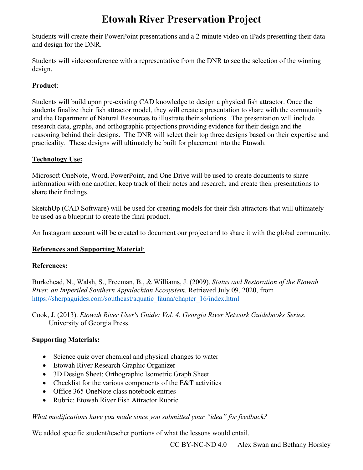Students will create their PowerPoint presentations and a 2-minute video on iPads presenting their data and design for the DNR.

Students will videoconference with a representative from the DNR to see the selection of the winning design.

# **Product**:

Students will build upon pre-existing CAD knowledge to design a physical fish attractor. Once the students finalize their fish attractor model, they will create a presentation to share with the community and the Department of Natural Resources to illustrate their solutions. The presentation will include research data, graphs, and orthographic projections providing evidence for their design and the reasoning behind their designs. The DNR will select their top three designs based on their expertise and practicality. These designs will ultimately be built for placement into the Etowah.

## **Technology Use:**

Microsoft OneNote, Word, PowerPoint, and One Drive will be used to create documents to share information with one another, keep track of their notes and research, and create their presentations to share their findings.

SketchUp (CAD Software) will be used for creating models for their fish attractors that will ultimately be used as a blueprint to create the final product.

An Instagram account will be created to document our project and to share it with the global community.

## **References and Supporting Material**:

#### **References:**

Burkehead, N., Walsh, S., Freeman, B., & Williams, J. (2009). *Status and Restoration of the Etowah River, an Imperiled Southern Appalachian Ecosystem*. Retrieved July 09, 2020, from [https://sherpaguides.com/southeast/aquatic\\_fauna/chapter\\_16/index.html](https://sherpaguides.com/southeast/aquatic_fauna/chapter_16/index.html)

Cook, J. (2013). *Etowah River User's Guide: Vol. 4. Georgia River Network Guidebooks Series.*  University of Georgia Press.

## **Supporting Materials:**

- Science quiz over chemical and physical changes to water
- Etowah River Research Graphic Organizer
- 3D Design Sheet: Orthographic Isometric Graph Sheet
- Checklist for the various components of the E&T activities
- Office 365 OneNote class notebook entries
- Rubric: Etowah River Fish Attractor Rubric

#### *What modifications have you made since you submitted your "idea" for feedback?*

We added specific student/teacher portions of what the lessons would entail.